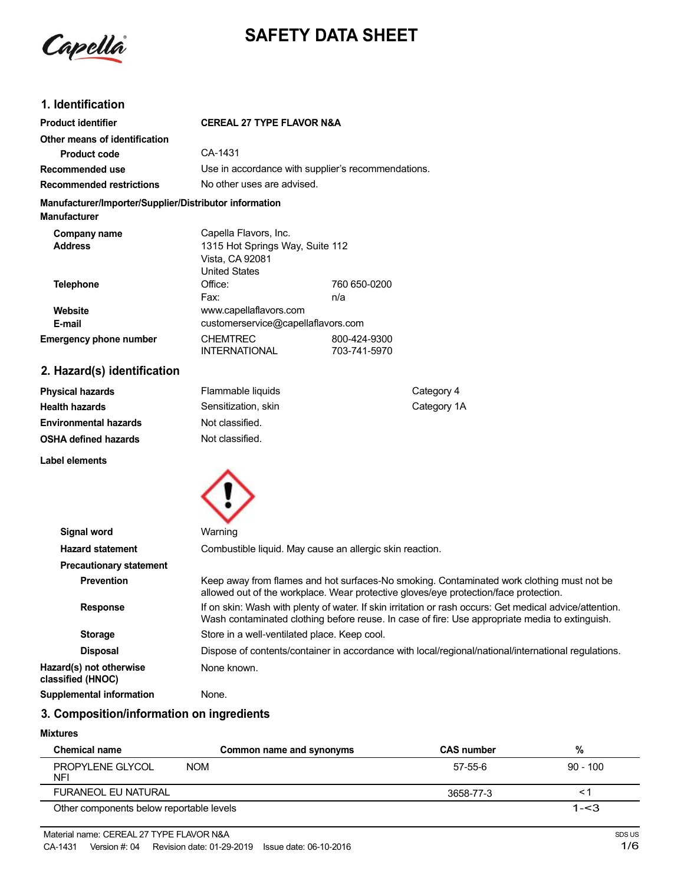Capella

# **SAFETY DATA SHEET**

# **1. Identification**

| <b>Product identifier</b>                                                     | <b>CEREAL 27 TYPE FLAVOR N&amp;A</b>                                                                |                              |  |
|-------------------------------------------------------------------------------|-----------------------------------------------------------------------------------------------------|------------------------------|--|
| Other means of identification                                                 |                                                                                                     |                              |  |
| <b>Product code</b>                                                           | CA-1431                                                                                             |                              |  |
| Recommended use                                                               | Use in accordance with supplier's recommendations.                                                  |                              |  |
| <b>Recommended restrictions</b>                                               | No other uses are advised.                                                                          |                              |  |
| Manufacturer/Importer/Supplier/Distributor information<br><b>Manufacturer</b> |                                                                                                     |                              |  |
| Company name<br><b>Address</b>                                                | Capella Flavors, Inc.<br>1315 Hot Springs Way, Suite 112<br>Vista, CA 92081<br><b>United States</b> |                              |  |
| Telephone                                                                     | Office:<br>Fax:                                                                                     | 760 650-0200<br>n/a          |  |
| Website<br>E-mail                                                             | www.capellaflavors.com<br>customerservice@capellaflavors.com                                        |                              |  |
| <b>Emergency phone number</b>                                                 | <b>CHEMTREC</b><br><b>INTERNATIONAL</b>                                                             | 800-424-9300<br>703-741-5970 |  |
| 2. Hazard(s) identification                                                   |                                                                                                     |                              |  |

| <b>Physical hazards</b>      | Flammable liquids   | Category 4  |
|------------------------------|---------------------|-------------|
| <b>Health hazards</b>        | Sensitization, skin | Category 1A |
| <b>Environmental hazards</b> | Not classified.     |             |
| <b>OSHA defined hazards</b>  | Not classified.     |             |
|                              |                     |             |



| Signal word                                  | Warning                                                                                                                                                                                                   |
|----------------------------------------------|-----------------------------------------------------------------------------------------------------------------------------------------------------------------------------------------------------------|
| <b>Hazard statement</b>                      | Combustible liquid. May cause an allergic skin reaction.                                                                                                                                                  |
| <b>Precautionary statement</b>               |                                                                                                                                                                                                           |
| <b>Prevention</b>                            | Keep away from flames and hot surfaces-No smoking. Contaminated work clothing must not be<br>allowed out of the workplace. Wear protective gloves/eye protection/face protection.                         |
| <b>Response</b>                              | If on skin: Wash with plenty of water. If skin irritation or rash occurs: Get medical advice/attention.<br>Wash contaminated clothing before reuse. In case of fire: Use appropriate media to extinguish. |
| <b>Storage</b>                               | Store in a well-ventilated place. Keep cool.                                                                                                                                                              |
| <b>Disposal</b>                              | Dispose of contents/container in accordance with local/regional/national/international regulations.                                                                                                       |
| Hazard(s) not otherwise<br>classified (HNOC) | None known.                                                                                                                                                                                               |
| Supplemental information                     | None.                                                                                                                                                                                                     |

# **3. Composition/information on ingredients**

# **Mixtures**

**Label elements**

| <b>Chemical name</b>                     | Common name and synonyms | <b>CAS number</b> | %          |
|------------------------------------------|--------------------------|-------------------|------------|
| <b>PROPYLENE GLYCOL</b><br>NFI           | <b>NOM</b>               | 57-55-6           | $90 - 100$ |
| FURANEOL EU NATURAL                      |                          | 3658-77-3         |            |
| Other components below reportable levels |                          |                   | $1 - 3$    |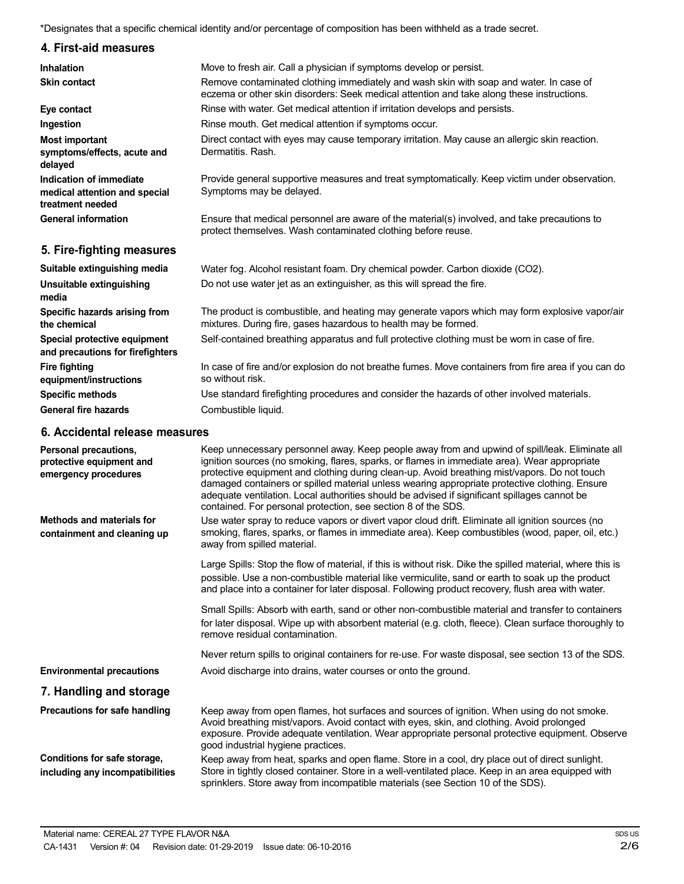\*Designates that a specific chemical identity and/or percentage of composition has been withheld as a trade secret.

# **4. First-aid measures**

| <b>Inhalation</b>                                                            | Move to fresh air. Call a physician if symptoms develop or persist.                                                                                                                 |
|------------------------------------------------------------------------------|-------------------------------------------------------------------------------------------------------------------------------------------------------------------------------------|
| <b>Skin contact</b>                                                          | Remove contaminated clothing immediately and wash skin with soap and water. In case of<br>eczema or other skin disorders: Seek medical attention and take along these instructions. |
| Eye contact                                                                  | Rinse with water. Get medical attention if irritation develops and persists.                                                                                                        |
| Ingestion                                                                    | Rinse mouth. Get medical attention if symptoms occur.                                                                                                                               |
| <b>Most important</b><br>symptoms/effects, acute and<br>delayed              | Direct contact with eyes may cause temporary irritation. May cause an allergic skin reaction.<br>Dermatitis, Rash.                                                                  |
| Indication of immediate<br>medical attention and special<br>treatment needed | Provide general supportive measures and treat symptomatically. Keep victim under observation.<br>Symptoms may be delayed.                                                           |
| <b>General information</b>                                                   | Ensure that medical personnel are aware of the material(s) involved, and take precautions to<br>protect themselves. Wash contaminated clothing before reuse.                        |
| 5. Fire-fighting measures                                                    |                                                                                                                                                                                     |
| Suitable extinguishing media                                                 | Water fog. Alcohol resistant foam. Dry chemical powder. Carbon dioxide (CO2).                                                                                                       |
| Unsuitable extinguishing<br>media                                            | Do not use water jet as an extinguisher, as this will spread the fire.                                                                                                              |
| Specific hazards arising from<br>the chemical                                | The product is combustible, and heating may generate vapors which may form explosive vapor/air<br>mixtures. During fire, gases hazardous to health may be formed.                   |
| Special protective equipment<br>and precautions for firefighters             | Self-contained breathing apparatus and full protective clothing must be worn in case of fire.                                                                                       |
| <b>Fire fighting</b><br>equipment/instructions                               | In case of fire and/or explosion do not breathe fumes. Move containers from fire area if you can do<br>so without risk.                                                             |
| <b>Specific methods</b>                                                      | Use standard firefighting procedures and consider the hazards of other involved materials.                                                                                          |
| <b>General fire hazards</b>                                                  | Combustible liquid.                                                                                                                                                                 |

### **6. Accidental release measures**

| Personal precautions,<br>protective equipment and<br>emergency procedures | Keep unnecessary personnel away. Keep people away from and upwind of spill/leak. Eliminate all<br>ignition sources (no smoking, flares, sparks, or flames in immediate area). Wear appropriate<br>protective equipment and clothing during clean-up. Avoid breathing mist/vapors. Do not touch<br>damaged containers or spilled material unless wearing appropriate protective clothing. Ensure<br>adequate ventilation. Local authorities should be advised if significant spillages cannot be<br>contained. For personal protection, see section 8 of the SDS. |
|---------------------------------------------------------------------------|------------------------------------------------------------------------------------------------------------------------------------------------------------------------------------------------------------------------------------------------------------------------------------------------------------------------------------------------------------------------------------------------------------------------------------------------------------------------------------------------------------------------------------------------------------------|
| Methods and materials for<br>containment and cleaning up                  | Use water spray to reduce vapors or divert vapor cloud drift. Eliminate all ignition sources (no<br>smoking, flares, sparks, or flames in immediate area). Keep combustibles (wood, paper, oil, etc.)<br>away from spilled material.                                                                                                                                                                                                                                                                                                                             |
|                                                                           | Large Spills: Stop the flow of material, if this is without risk. Dike the spilled material, where this is<br>possible. Use a non-combustible material like vermiculite, sand or earth to soak up the product<br>and place into a container for later disposal. Following product recovery, flush area with water.                                                                                                                                                                                                                                               |
|                                                                           | Small Spills: Absorb with earth, sand or other non-combustible material and transfer to containers<br>for later disposal. Wipe up with absorbent material (e.g. cloth, fleece). Clean surface thoroughly to<br>remove residual contamination.                                                                                                                                                                                                                                                                                                                    |
|                                                                           | Never return spills to original containers for re-use. For waste disposal, see section 13 of the SDS.                                                                                                                                                                                                                                                                                                                                                                                                                                                            |
| <b>Environmental precautions</b>                                          | Avoid discharge into drains, water courses or onto the ground.                                                                                                                                                                                                                                                                                                                                                                                                                                                                                                   |
| 7. Handling and storage                                                   |                                                                                                                                                                                                                                                                                                                                                                                                                                                                                                                                                                  |
| Precautions for safe handling                                             | Keep away from open flames, hot surfaces and sources of ignition. When using do not smoke.<br>Avoid breathing mist/vapors. Avoid contact with eyes, skin, and clothing. Avoid prolonged<br>exposure. Provide adequate ventilation. Wear appropriate personal protective equipment. Observe<br>good industrial hygiene practices.                                                                                                                                                                                                                                 |
| Conditions for safe storage,<br>including any incompatibilities           | Keep away from heat, sparks and open flame. Store in a cool, dry place out of direct sunlight.<br>Store in tightly closed container. Store in a well-ventilated place. Keep in an area equipped with<br>sprinklers. Store away from incompatible materials (see Section 10 of the SDS).                                                                                                                                                                                                                                                                          |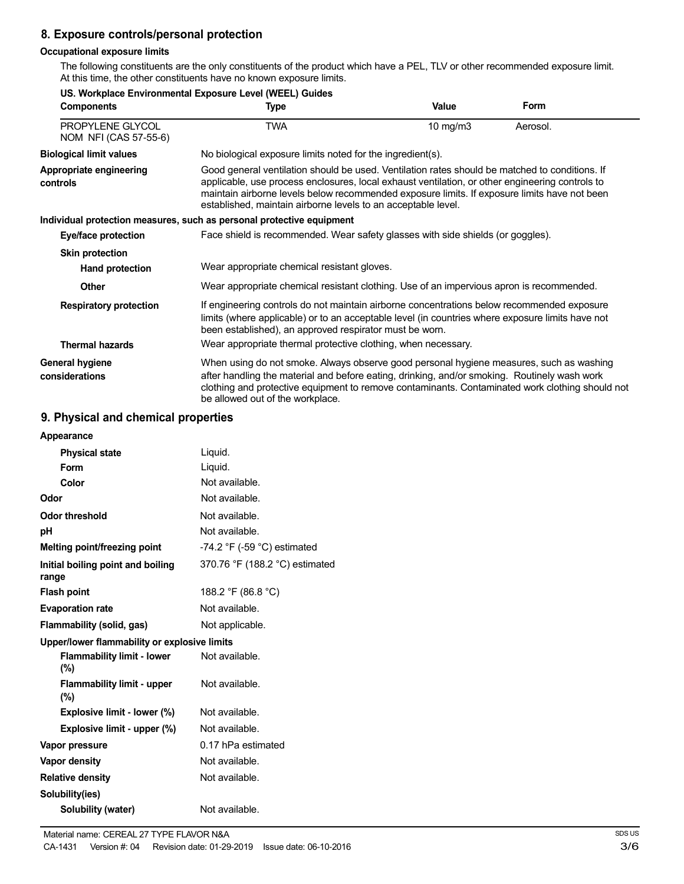# **8. Exposure controls/personal protection**

### **Occupational exposure limits**

The following constituents are the only constituents of the product which have a PEL, TLV or other recommended exposure limit. At this time, the other constituents have no known exposure limits.

| US. Workplace Environmental Exposure Level (WEEL) Guides |                                                                                                                                                                                                                                                                                                                                                                    |          |          |  |
|----------------------------------------------------------|--------------------------------------------------------------------------------------------------------------------------------------------------------------------------------------------------------------------------------------------------------------------------------------------------------------------------------------------------------------------|----------|----------|--|
| <b>Components</b>                                        | Type                                                                                                                                                                                                                                                                                                                                                               | Value    | Form     |  |
| PROPYLENE GLYCOL<br>NOM NFI (CAS 57-55-6)                | <b>TWA</b>                                                                                                                                                                                                                                                                                                                                                         | 10 mg/m3 | Aerosol. |  |
| <b>Biological limit values</b>                           | No biological exposure limits noted for the ingredient(s).                                                                                                                                                                                                                                                                                                         |          |          |  |
| Appropriate engineering<br>controls                      | Good general ventilation should be used. Ventilation rates should be matched to conditions. If<br>applicable, use process enclosures, local exhaust ventilation, or other engineering controls to<br>maintain airborne levels below recommended exposure limits. If exposure limits have not been<br>established, maintain airborne levels to an acceptable level. |          |          |  |
|                                                          | Individual protection measures, such as personal protective equipment                                                                                                                                                                                                                                                                                              |          |          |  |
| Eye/face protection                                      | Face shield is recommended. Wear safety glasses with side shields (or goggles).                                                                                                                                                                                                                                                                                    |          |          |  |
| <b>Skin protection</b>                                   |                                                                                                                                                                                                                                                                                                                                                                    |          |          |  |
| Hand protection                                          | Wear appropriate chemical resistant gloves.                                                                                                                                                                                                                                                                                                                        |          |          |  |
| <b>Other</b>                                             | Wear appropriate chemical resistant clothing. Use of an impervious apron is recommended.                                                                                                                                                                                                                                                                           |          |          |  |
| <b>Respiratory protection</b>                            | If engineering controls do not maintain airborne concentrations below recommended exposure<br>limits (where applicable) or to an acceptable level (in countries where exposure limits have not<br>been established), an approved respirator must be worn.                                                                                                          |          |          |  |
| <b>Thermal hazards</b>                                   | Wear appropriate thermal protective clothing, when necessary.                                                                                                                                                                                                                                                                                                      |          |          |  |
| General hygiene<br>considerations                        | When using do not smoke. Always observe good personal hygiene measures, such as washing<br>after handling the material and before eating, drinking, and/or smoking. Routinely wash work<br>clothing and protective equipment to remove contaminants. Contaminated work clothing should not<br>be allowed out of the workplace.                                     |          |          |  |

# **9. Physical and chemical properties**

| Appearance                                   |                                               |
|----------------------------------------------|-----------------------------------------------|
| <b>Physical state</b>                        | Liquid.                                       |
| Form                                         | Liquid.                                       |
| Color                                        | Not available.                                |
| Odor                                         | Not available.                                |
| Odor threshold                               | Not available.                                |
| рH                                           | Not available.                                |
| Melting point/freezing point                 | -74.2 $\degree$ F (-59 $\degree$ C) estimated |
| Initial boiling point and boiling<br>range   | 370.76 °F (188.2 °C) estimated                |
| <b>Flash point</b>                           | 188.2 °F (86.8 °C)                            |
| <b>Evaporation rate</b>                      | Not available.                                |
| Flammability (solid, gas)                    | Not applicable.                               |
| Upper/lower flammability or explosive limits |                                               |
| <b>Flammability limit - lower</b><br>(%)     | Not available.                                |
| <b>Flammability limit - upper</b><br>$(\%)$  | Not available.                                |
| Explosive limit - lower (%)                  | Not available.                                |
| Explosive limit - upper (%)                  | Not available.                                |
| Vapor pressure                               | 0.17 hPa estimated                            |
| <b>Vapor density</b>                         | Not available.                                |
| <b>Relative density</b>                      | Not available.                                |
| Solubility(ies)                              |                                               |
| <b>Solubility (water)</b>                    | Not available.                                |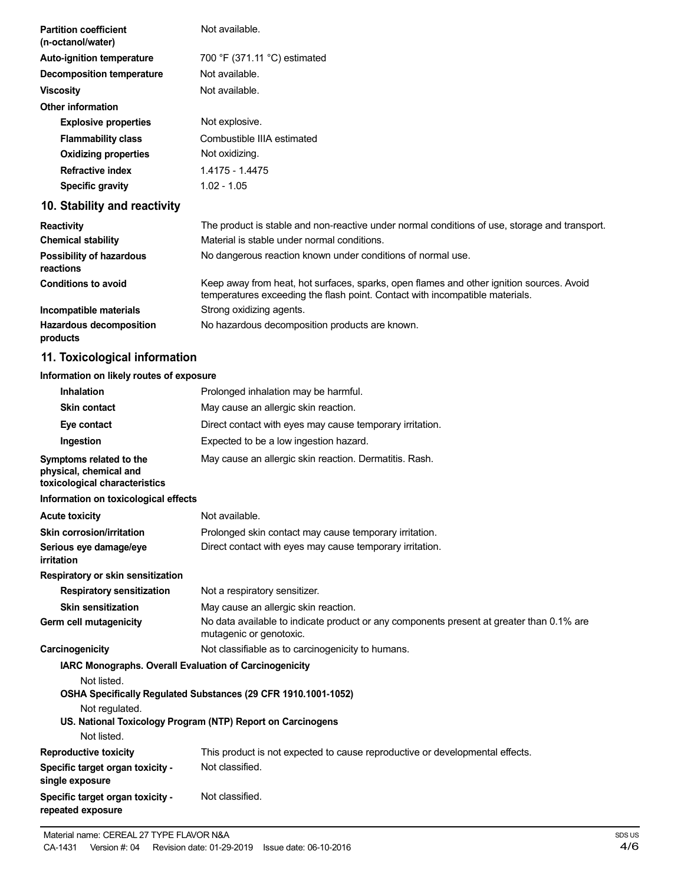| <b>Partition coefficient</b><br>(n-octanol/water) | Not available.                                                                                                                                                           |
|---------------------------------------------------|--------------------------------------------------------------------------------------------------------------------------------------------------------------------------|
| <b>Auto-ignition temperature</b>                  | 700 °F (371.11 °C) estimated                                                                                                                                             |
| <b>Decomposition temperature</b>                  | Not available.                                                                                                                                                           |
| <b>Viscosity</b>                                  | Not available.                                                                                                                                                           |
| <b>Other information</b>                          |                                                                                                                                                                          |
| <b>Explosive properties</b>                       | Not explosive.                                                                                                                                                           |
| <b>Flammability class</b>                         | Combustible IIIA estimated                                                                                                                                               |
| <b>Oxidizing properties</b>                       | Not oxidizing.                                                                                                                                                           |
| <b>Refractive index</b>                           | 1.4175 - 1.4475                                                                                                                                                          |
| <b>Specific gravity</b>                           | $1.02 - 1.05$                                                                                                                                                            |
| 10. Stability and reactivity                      |                                                                                                                                                                          |
| <b>Reactivity</b>                                 | The product is stable and non-reactive under normal conditions of use, storage and transport.                                                                            |
| <b>Chemical stability</b>                         | Material is stable under normal conditions.                                                                                                                              |
| Possibility of hazardous<br>reactions             | No dangerous reaction known under conditions of normal use.                                                                                                              |
| <b>Conditions to avoid</b>                        | Keep away from heat, hot surfaces, sparks, open flames and other ignition sources. Avoid<br>temperatures exceeding the flash point. Contact with incompatible materials. |
| Incompatible materials                            | Strong oxidizing agents.                                                                                                                                                 |
| <b>Hazardous decomposition</b><br>products        | No hazardous decomposition products are known.                                                                                                                           |
| 11. Toxicological information                     |                                                                                                                                                                          |

# **Information on likely routes of exposure**

| <b>Inhalation</b>                                                                  | Prolonged inhalation may be harmful.                                                                                |
|------------------------------------------------------------------------------------|---------------------------------------------------------------------------------------------------------------------|
| <b>Skin contact</b>                                                                | May cause an allergic skin reaction.                                                                                |
| Eye contact                                                                        | Direct contact with eyes may cause temporary irritation.                                                            |
| Ingestion                                                                          | Expected to be a low ingestion hazard.                                                                              |
| Symptoms related to the<br>physical, chemical and<br>toxicological characteristics | May cause an allergic skin reaction. Dermatitis. Rash.                                                              |
| Information on toxicological effects                                               |                                                                                                                     |
| <b>Acute toxicity</b>                                                              | Not available.                                                                                                      |
| Skin corrosion/irritation                                                          | Prolonged skin contact may cause temporary irritation.                                                              |
| Serious eye damage/eye<br>irritation                                               | Direct contact with eyes may cause temporary irritation.                                                            |
| Respiratory or skin sensitization                                                  |                                                                                                                     |
| <b>Respiratory sensitization</b>                                                   | Not a respiratory sensitizer.                                                                                       |
| <b>Skin sensitization</b>                                                          | May cause an allergic skin reaction.                                                                                |
| Germ cell mutagenicity                                                             | No data available to indicate product or any components present at greater than 0.1% are<br>mutagenic or genotoxic. |
| Carcinogenicity                                                                    | Not classifiable as to carcinogenicity to humans.                                                                   |
| <b>IARC Monographs. Overall Evaluation of Carcinogenicity</b><br>Not listed.       | OSHA Specifically Regulated Substances (29 CFR 1910.1001-1052)                                                      |
| Not regulated.                                                                     |                                                                                                                     |
|                                                                                    | US. National Toxicology Program (NTP) Report on Carcinogens                                                         |
| Not listed.                                                                        |                                                                                                                     |
| <b>Reproductive toxicity</b>                                                       | This product is not expected to cause reproductive or developmental effects.                                        |
| Specific target organ toxicity -<br>single exposure                                | Not classified.                                                                                                     |
| Specific target organ toxicity -<br>repeated exposure                              | Not classified.                                                                                                     |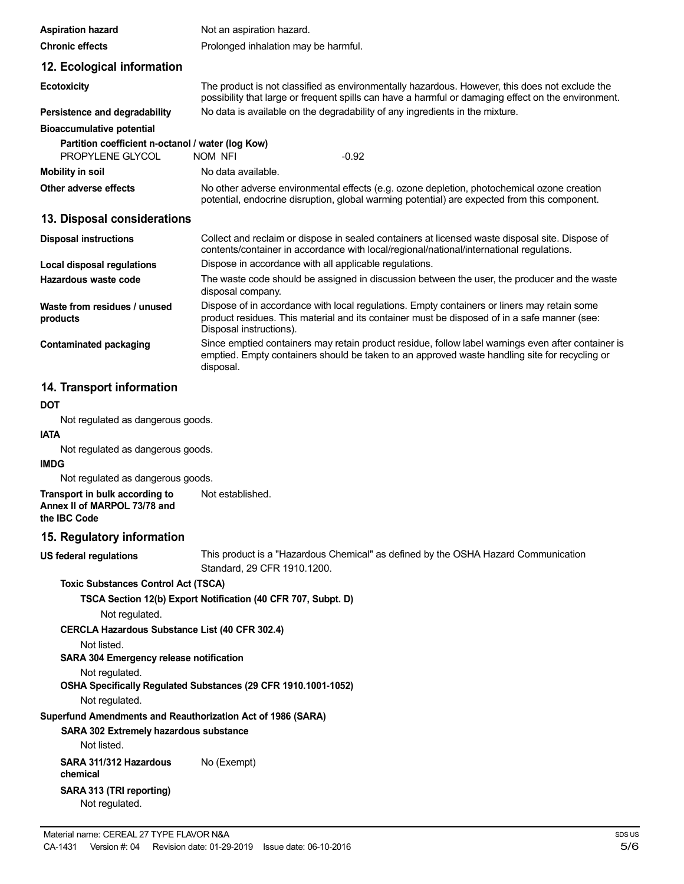| <b>Aspiration hazard</b>                                              | Not an aspiration hazard.                                                                                                                                                                                              |  |
|-----------------------------------------------------------------------|------------------------------------------------------------------------------------------------------------------------------------------------------------------------------------------------------------------------|--|
| <b>Chronic effects</b>                                                | Prolonged inhalation may be harmful.                                                                                                                                                                                   |  |
| 12. Ecological information                                            |                                                                                                                                                                                                                        |  |
| <b>Ecotoxicity</b>                                                    | The product is not classified as environmentally hazardous. However, this does not exclude the<br>possibility that large or frequent spills can have a harmful or damaging effect on the environment.                  |  |
| Persistence and degradability                                         | No data is available on the degradability of any ingredients in the mixture.                                                                                                                                           |  |
| <b>Bioaccumulative potential</b>                                      |                                                                                                                                                                                                                        |  |
| Partition coefficient n-octanol / water (log Kow)<br>PROPYLENE GLYCOL | NOM NFI<br>$-0.92$                                                                                                                                                                                                     |  |
| <b>Mobility in soil</b>                                               | No data available.                                                                                                                                                                                                     |  |
| Other adverse effects                                                 | No other adverse environmental effects (e.g. ozone depletion, photochemical ozone creation<br>potential, endocrine disruption, global warming potential) are expected from this component.                             |  |
| 13. Disposal considerations                                           |                                                                                                                                                                                                                        |  |
| <b>Disposal instructions</b>                                          | Collect and reclaim or dispose in sealed containers at licensed waste disposal site. Dispose of<br>contents/container in accordance with local/regional/national/international regulations.                            |  |
| Local disposal regulations                                            | Dispose in accordance with all applicable regulations.                                                                                                                                                                 |  |
| Hazardous waste code                                                  | The waste code should be assigned in discussion between the user, the producer and the waste<br>disposal company.                                                                                                      |  |
| Waste from residues / unused<br>products                              | Dispose of in accordance with local regulations. Empty containers or liners may retain some<br>product residues. This material and its container must be disposed of in a safe manner (see:<br>Disposal instructions). |  |
| <b>Contaminated packaging</b>                                         | Since emptied containers may retain product residue, follow label warnings even after container is<br>emptied. Empty containers should be taken to an approved waste handling site for recycling or<br>disposal.       |  |

# **14. Transport information**

# **DOT**

Not regulated as dangerous goods.

# **IATA**

Not regulated as dangerous goods.

### **IMDG**

Not regulated as dangerous goods.

**Transport in bulk according to Annex II of MARPOL 73/78 and the IBC Code** Not established.

### **15. Regulatory information**

**US federal regulations**

This product is a "Hazardous Chemical" as defined by the OSHA Hazard Communication Standard, 29 CFR 1910.1200.

#### **Toxic Substances Control Act (TSCA)**

**TSCA Section 12(b) Export Notification (40 CFR 707, Subpt. D)**

Not regulated.

**CERCLA Hazardous Substance List (40 CFR 302.4)**

Not listed.

# **SARA 304 Emergency release notification**

Not regulated.

**OSHA Specifically Regulated Substances (29 CFR 1910.1001-1052)**

Not regulated.

### **Superfund Amendments and Reauthorization Act of 1986 (SARA)**

**SARA 302 Extremely hazardous substance**

Not listed.

**SARA 311/312 Hazardous chemical SARA 313 (TRI reporting)** Not regulated. No (Exempt)